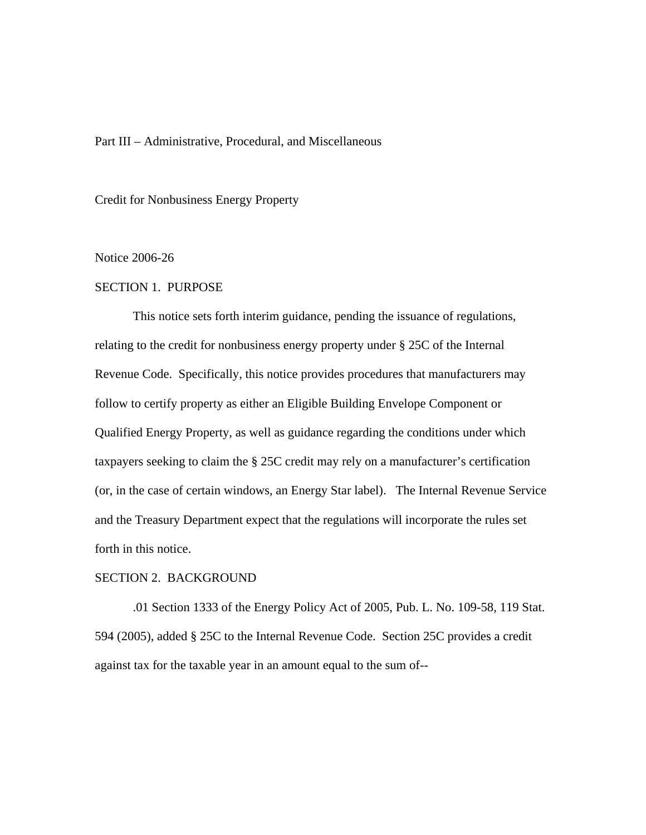## Part III – Administrative, Procedural, and Miscellaneous

Credit for Nonbusiness Energy Property

#### Notice 2006-26

#### SECTION 1. PURPOSE

This notice sets forth interim guidance, pending the issuance of regulations, relating to the credit for nonbusiness energy property under § 25C of the Internal Revenue Code. Specifically, this notice provides procedures that manufacturers may follow to certify property as either an Eligible Building Envelope Component or Qualified Energy Property, as well as guidance regarding the conditions under which taxpayers seeking to claim the § 25C credit may rely on a manufacturer's certification (or, in the case of certain windows, an Energy Star label). The Internal Revenue Service and the Treasury Department expect that the regulations will incorporate the rules set forth in this notice.

### SECTION 2. BACKGROUND

.01 Section 1333 of the Energy Policy Act of 2005, Pub. L. No. 109-58, 119 Stat. 594 (2005), added § 25C to the Internal Revenue Code. Section 25C provides a credit against tax for the taxable year in an amount equal to the sum of--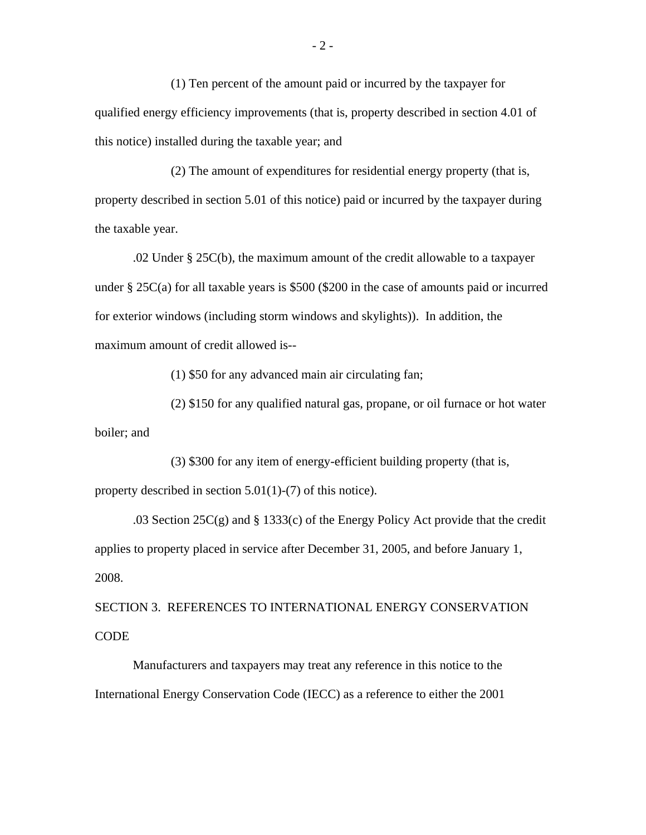(1) Ten percent of the amount paid or incurred by the taxpayer for qualified energy efficiency improvements (that is, property described in section 4.01 of this notice) installed during the taxable year; and

(2) The amount of expenditures for residential energy property (that is, property described in section 5.01 of this notice) paid or incurred by the taxpayer during the taxable year.

.02 Under § 25C(b), the maximum amount of the credit allowable to a taxpayer under § 25C(a) for all taxable years is \$500 (\$200 in the case of amounts paid or incurred for exterior windows (including storm windows and skylights)). In addition, the maximum amount of credit allowed is--

(1) \$50 for any advanced main air circulating fan;

(2) \$150 for any qualified natural gas, propane, or oil furnace or hot water boiler; and

(3) \$300 for any item of energy-efficient building property (that is, property described in section 5.01(1)-(7) of this notice).

.03 Section 25C(g) and § 1333(c) of the Energy Policy Act provide that the credit applies to property placed in service after December 31, 2005, and before January 1, 2008.

SECTION 3. REFERENCES TO INTERNATIONAL ENERGY CONSERVATION **CODE** 

Manufacturers and taxpayers may treat any reference in this notice to the International Energy Conservation Code (IECC) as a reference to either the 2001

 $-2 -$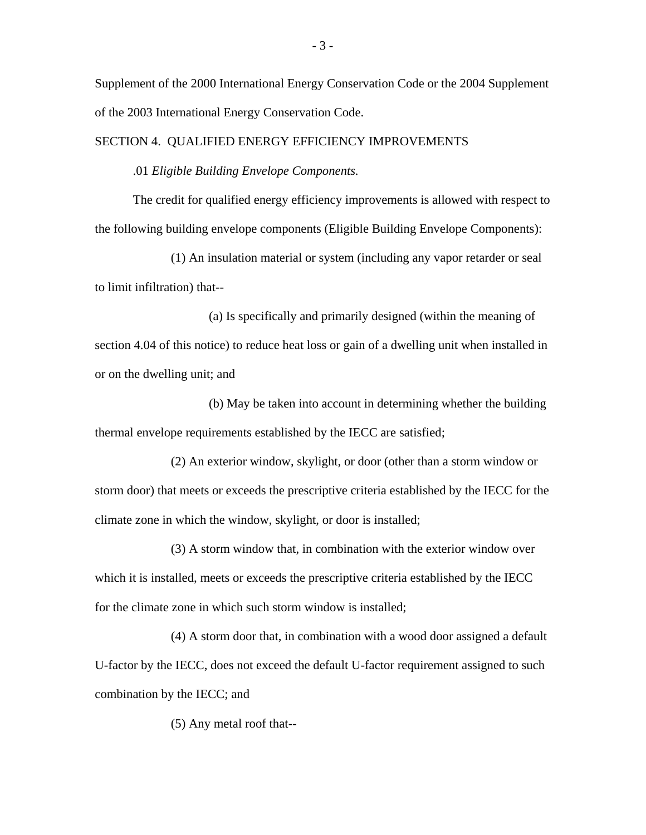Supplement of the 2000 International Energy Conservation Code or the 2004 Supplement of the 2003 International Energy Conservation Code.

#### SECTION 4. QUALIFIED ENERGY EFFICIENCY IMPROVEMENTS

.01 *Eligible Building Envelope Components.*

The credit for qualified energy efficiency improvements is allowed with respect to the following building envelope components (Eligible Building Envelope Components):

(1) An insulation material or system (including any vapor retarder or seal to limit infiltration) that--

(a) Is specifically and primarily designed (within the meaning of section 4.04 of this notice) to reduce heat loss or gain of a dwelling unit when installed in or on the dwelling unit; and

(b) May be taken into account in determining whether the building thermal envelope requirements established by the IECC are satisfied;

(2) An exterior window, skylight, or door (other than a storm window or storm door) that meets or exceeds the prescriptive criteria established by the IECC for the climate zone in which the window, skylight, or door is installed;

(3) A storm window that, in combination with the exterior window over which it is installed, meets or exceeds the prescriptive criteria established by the IECC for the climate zone in which such storm window is installed;

(4) A storm door that, in combination with a wood door assigned a default U-factor by the IECC, does not exceed the default U-factor requirement assigned to such combination by the IECC; and

(5) Any metal roof that--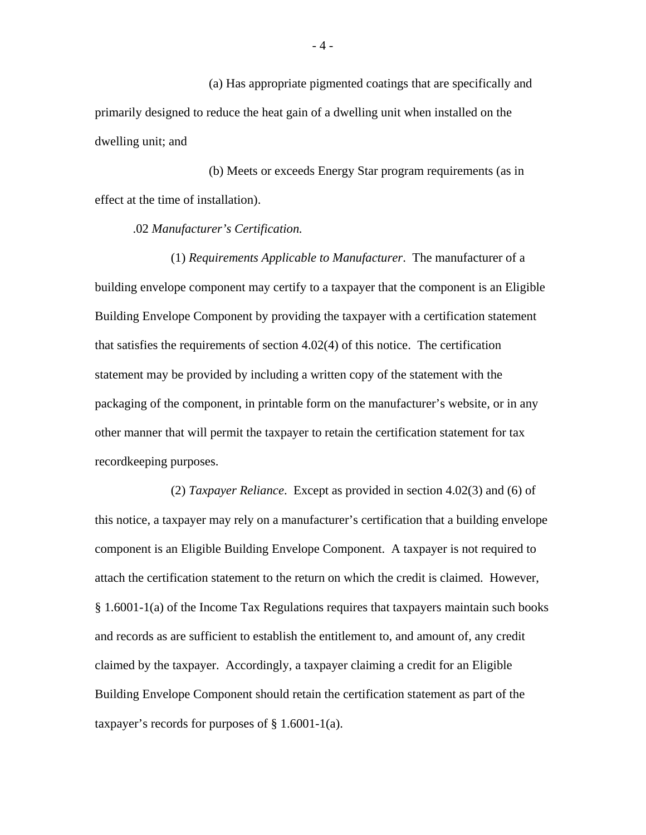(a) Has appropriate pigmented coatings that are specifically and primarily designed to reduce the heat gain of a dwelling unit when installed on the dwelling unit; and

(b) Meets or exceeds Energy Star program requirements (as in effect at the time of installation).

.02 *Manufacturer's Certification.*

(1) *Requirements Applicable to Manufacturer*. The manufacturer of a building envelope component may certify to a taxpayer that the component is an Eligible Building Envelope Component by providing the taxpayer with a certification statement that satisfies the requirements of section 4.02(4) of this notice. The certification statement may be provided by including a written copy of the statement with the packaging of the component, in printable form on the manufacturer's website, or in any other manner that will permit the taxpayer to retain the certification statement for tax recordkeeping purposes.

(2) *Taxpayer Reliance*. Except as provided in section 4.02(3) and (6) of this notice, a taxpayer may rely on a manufacturer's certification that a building envelope component is an Eligible Building Envelope Component. A taxpayer is not required to attach the certification statement to the return on which the credit is claimed. However, § 1.6001-1(a) of the Income Tax Regulations requires that taxpayers maintain such books and records as are sufficient to establish the entitlement to, and amount of, any credit claimed by the taxpayer. Accordingly, a taxpayer claiming a credit for an Eligible Building Envelope Component should retain the certification statement as part of the taxpayer's records for purposes of  $\S 1.6001-1(a)$ .

- 4 -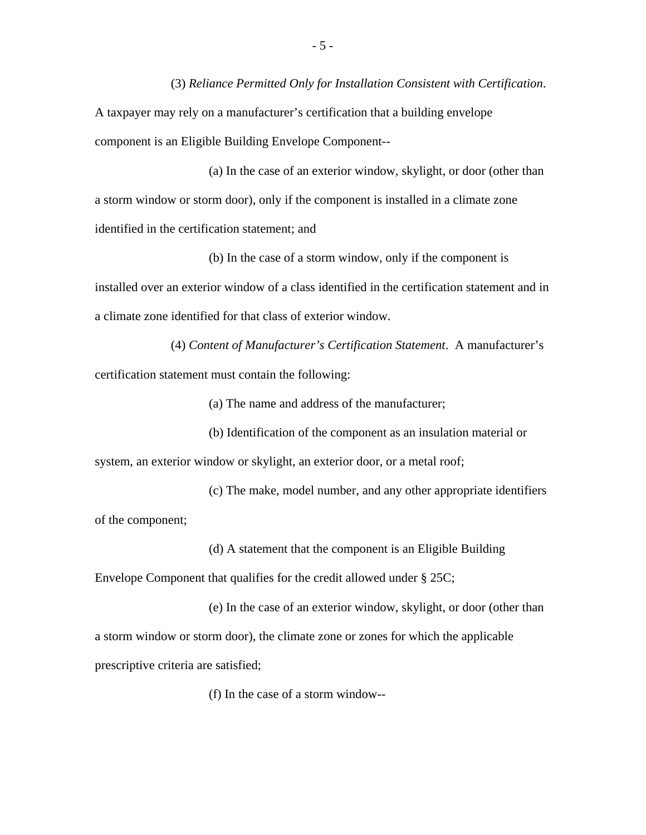(3) *Reliance Permitted Only for Installation Consistent with Certification*.

A taxpayer may rely on a manufacturer's certification that a building envelope component is an Eligible Building Envelope Component--

(a) In the case of an exterior window, skylight, or door (other than a storm window or storm door), only if the component is installed in a climate zone identified in the certification statement; and

(b) In the case of a storm window, only if the component is installed over an exterior window of a class identified in the certification statement and in a climate zone identified for that class of exterior window.

(4) *Content of Manufacturer's Certification Statement*. A manufacturer's certification statement must contain the following:

(a) The name and address of the manufacturer;

(b) Identification of the component as an insulation material or system, an exterior window or skylight, an exterior door, or a metal roof;

(c) The make, model number, and any other appropriate identifiers of the component;

(d) A statement that the component is an Eligible Building

Envelope Component that qualifies for the credit allowed under § 25C;

(e) In the case of an exterior window, skylight, or door (other than a storm window or storm door), the climate zone or zones for which the applicable prescriptive criteria are satisfied;

(f) In the case of a storm window--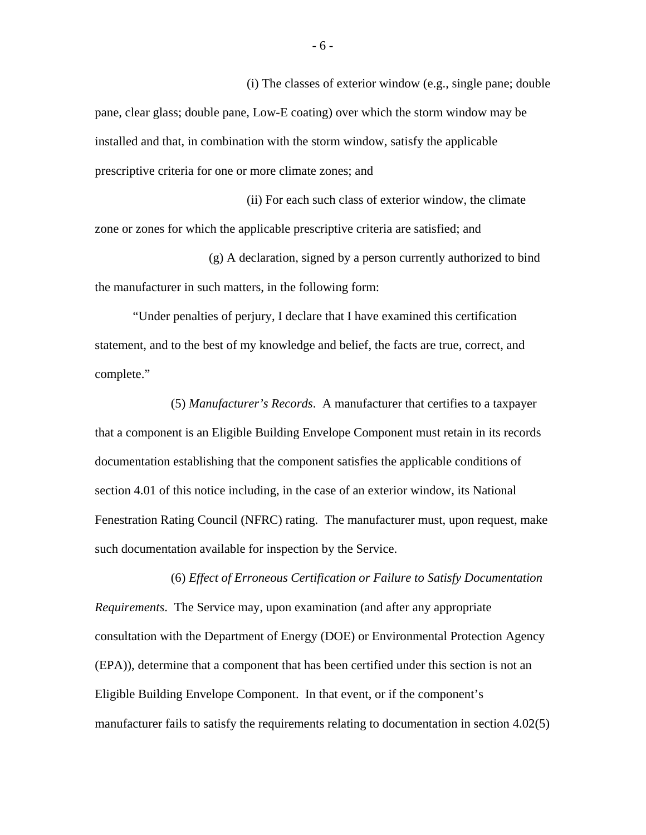(i) The classes of exterior window (e.g., single pane; double pane, clear glass; double pane, Low-E coating) over which the storm window may be installed and that, in combination with the storm window, satisfy the applicable prescriptive criteria for one or more climate zones; and

(ii) For each such class of exterior window, the climate zone or zones for which the applicable prescriptive criteria are satisfied; and

(g) A declaration, signed by a person currently authorized to bind the manufacturer in such matters, in the following form:

"Under penalties of perjury, I declare that I have examined this certification statement, and to the best of my knowledge and belief, the facts are true, correct, and complete."

(5) *Manufacturer's Records*. A manufacturer that certifies to a taxpayer that a component is an Eligible Building Envelope Component must retain in its records documentation establishing that the component satisfies the applicable conditions of section 4.01 of this notice including, in the case of an exterior window, its National Fenestration Rating Council (NFRC) rating. The manufacturer must, upon request, make such documentation available for inspection by the Service.

*Requirements*. The Service may, upon examination (and after any appropriate consultation with the Department of Energy (DOE) or Environmental Protection Agency (EPA)), determine that a component that has been certified under this section is not an Eligible Building Envelope Component. In that event, or if the component's manufacturer fails to satisfy the requirements relating to documentation in section 4.02(5)

(6) *Effect of Erroneous Certification or Failure to Satisfy Documentation*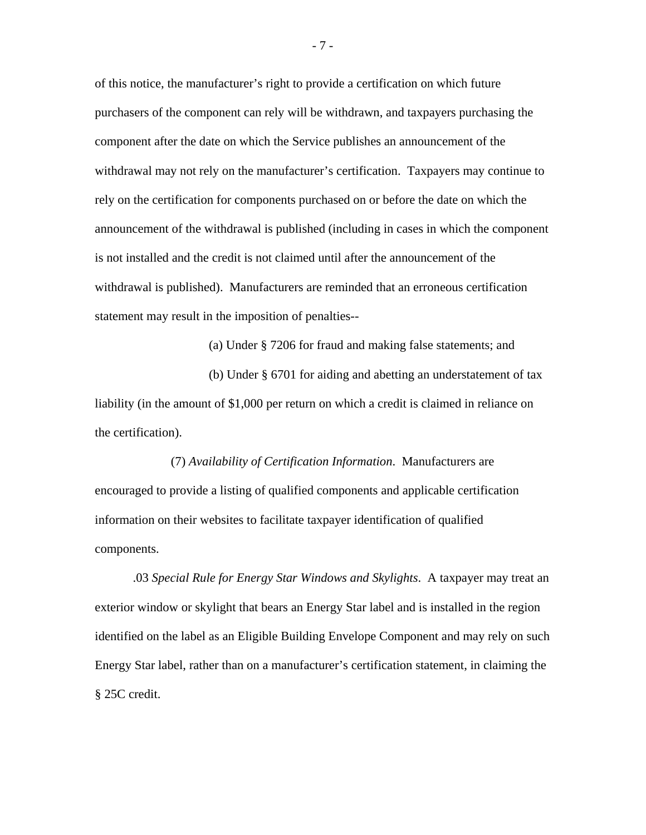of this notice, the manufacturer's right to provide a certification on which future purchasers of the component can rely will be withdrawn, and taxpayers purchasing the component after the date on which the Service publishes an announcement of the withdrawal may not rely on the manufacturer's certification. Taxpayers may continue to rely on the certification for components purchased on or before the date on which the announcement of the withdrawal is published (including in cases in which the component is not installed and the credit is not claimed until after the announcement of the withdrawal is published). Manufacturers are reminded that an erroneous certification statement may result in the imposition of penalties--

(a) Under § 7206 for fraud and making false statements; and

(b) Under § 6701 for aiding and abetting an understatement of tax liability (in the amount of \$1,000 per return on which a credit is claimed in reliance on the certification).

(7) *Availability of Certification Information*. Manufacturers are encouraged to provide a listing of qualified components and applicable certification information on their websites to facilitate taxpayer identification of qualified components.

.03 *Special Rule for Energy Star Windows and Skylights*. A taxpayer may treat an exterior window or skylight that bears an Energy Star label and is installed in the region identified on the label as an Eligible Building Envelope Component and may rely on such Energy Star label, rather than on a manufacturer's certification statement, in claiming the § 25C credit.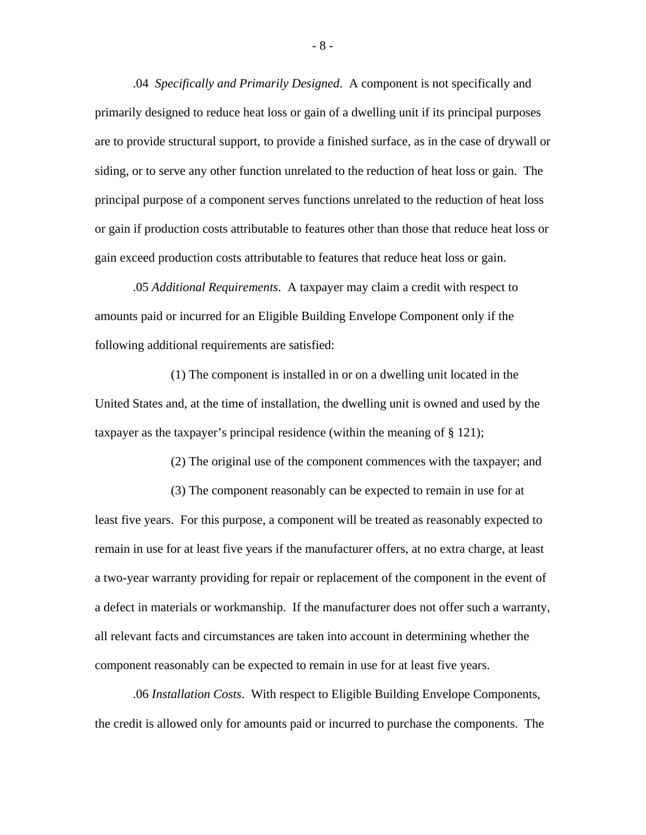.04 *Specifically and Primarily Designed*. A component is not specifically and primarily designed to reduce heat loss or gain of a dwelling unit if its principal purposes are to provide structural support, to provide a finished surface, as in the case of drywall or siding, or to serve any other function unrelated to the reduction of heat loss or gain. The principal purpose of a component serves functions unrelated to the reduction of heat loss or gain if production costs attributable to features other than those that reduce heat loss or gain exceed production costs attributable to features that reduce heat loss or gain.

.05 *Additional Requirements*. A taxpayer may claim a credit with respect to amounts paid or incurred for an Eligible Building Envelope Component only if the following additional requirements are satisfied:

(1) The component is installed in or on a dwelling unit located in the United States and, at the time of installation, the dwelling unit is owned and used by the taxpayer as the taxpayer's principal residence (within the meaning of § 121);

(2) The original use of the component commences with the taxpayer; and

(3) The component reasonably can be expected to remain in use for at least five years. For this purpose, a component will be treated as reasonably expected to remain in use for at least five years if the manufacturer offers, at no extra charge, at least a two-year warranty providing for repair or replacement of the component in the event of a defect in materials or workmanship. If the manufacturer does not offer such a warranty, all relevant facts and circumstances are taken into account in determining whether the component reasonably can be expected to remain in use for at least five years.

.06 *Installation Costs*. With respect to Eligible Building Envelope Components, the credit is allowed only for amounts paid or incurred to purchase the components. The

- 8 -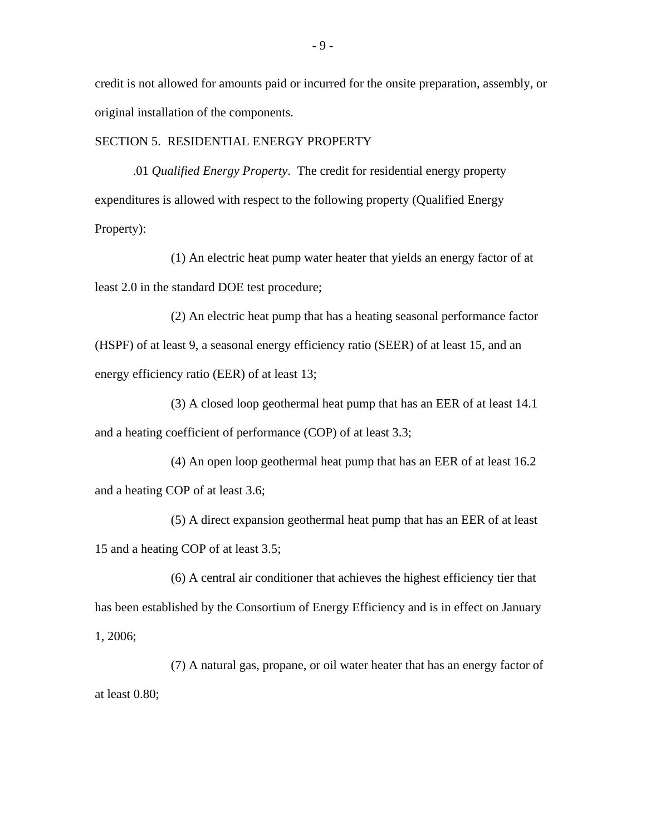credit is not allowed for amounts paid or incurred for the onsite preparation, assembly, or original installation of the components.

## SECTION 5. RESIDENTIAL ENERGY PROPERTY

.01 *Qualified Energy Property*. The credit for residential energy property expenditures is allowed with respect to the following property (Qualified Energy Property):

(1) An electric heat pump water heater that yields an energy factor of at least 2.0 in the standard DOE test procedure;

(2) An electric heat pump that has a heating seasonal performance factor (HSPF) of at least 9, a seasonal energy efficiency ratio (SEER) of at least 15, and an energy efficiency ratio (EER) of at least 13;

(3) A closed loop geothermal heat pump that has an EER of at least 14.1 and a heating coefficient of performance (COP) of at least 3.3;

(4) An open loop geothermal heat pump that has an EER of at least 16.2 and a heating COP of at least 3.6;

(5) A direct expansion geothermal heat pump that has an EER of at least 15 and a heating COP of at least 3.5;

(6) A central air conditioner that achieves the highest efficiency tier that has been established by the Consortium of Energy Efficiency and is in effect on January 1, 2006;

(7) A natural gas, propane, or oil water heater that has an energy factor of at least 0.80;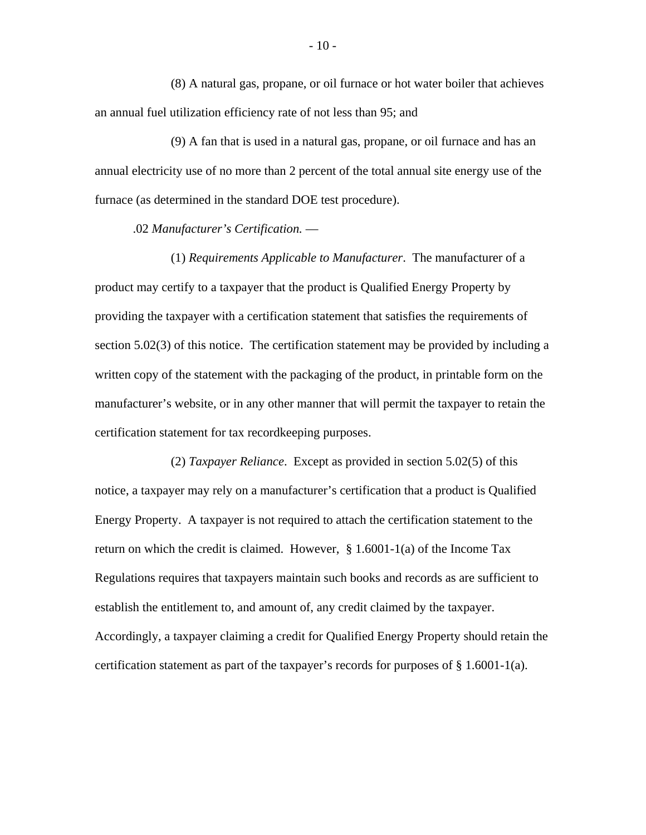(8) A natural gas, propane, or oil furnace or hot water boiler that achieves an annual fuel utilization efficiency rate of not less than 95; and

(9) A fan that is used in a natural gas, propane, or oil furnace and has an annual electricity use of no more than 2 percent of the total annual site energy use of the furnace (as determined in the standard DOE test procedure).

.02 *Manufacturer's Certification.* —

(1) *Requirements Applicable to Manufacturer*. The manufacturer of a product may certify to a taxpayer that the product is Qualified Energy Property by providing the taxpayer with a certification statement that satisfies the requirements of section 5.02(3) of this notice. The certification statement may be provided by including a written copy of the statement with the packaging of the product, in printable form on the manufacturer's website, or in any other manner that will permit the taxpayer to retain the certification statement for tax recordkeeping purposes.

(2) *Taxpayer Reliance*. Except as provided in section 5.02(5) of this notice, a taxpayer may rely on a manufacturer's certification that a product is Qualified Energy Property. A taxpayer is not required to attach the certification statement to the return on which the credit is claimed. However,  $\S$  1.6001-1(a) of the Income Tax Regulations requires that taxpayers maintain such books and records as are sufficient to establish the entitlement to, and amount of, any credit claimed by the taxpayer. Accordingly, a taxpayer claiming a credit for Qualified Energy Property should retain the certification statement as part of the taxpayer's records for purposes of  $\S 1.6001-1(a)$ .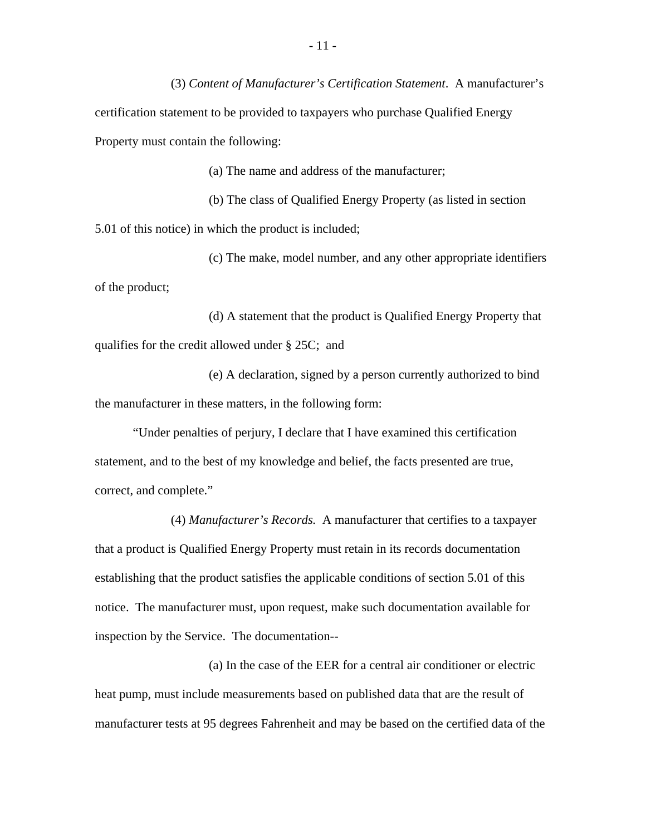(3) *Content of Manufacturer's Certification Statement*. A manufacturer's certification statement to be provided to taxpayers who purchase Qualified Energy Property must contain the following:

(a) The name and address of the manufacturer;

(b) The class of Qualified Energy Property (as listed in section 5.01 of this notice) in which the product is included;

(c) The make, model number, and any other appropriate identifiers of the product;

(d) A statement that the product is Qualified Energy Property that qualifies for the credit allowed under § 25C; and

(e) A declaration, signed by a person currently authorized to bind the manufacturer in these matters, in the following form:

"Under penalties of perjury, I declare that I have examined this certification statement, and to the best of my knowledge and belief, the facts presented are true, correct, and complete."

(4) *Manufacturer's Records.* A manufacturer that certifies to a taxpayer that a product is Qualified Energy Property must retain in its records documentation establishing that the product satisfies the applicable conditions of section 5.01 of this notice. The manufacturer must, upon request, make such documentation available for inspection by the Service. The documentation--

(a) In the case of the EER for a central air conditioner or electric heat pump, must include measurements based on published data that are the result of manufacturer tests at 95 degrees Fahrenheit and may be based on the certified data of the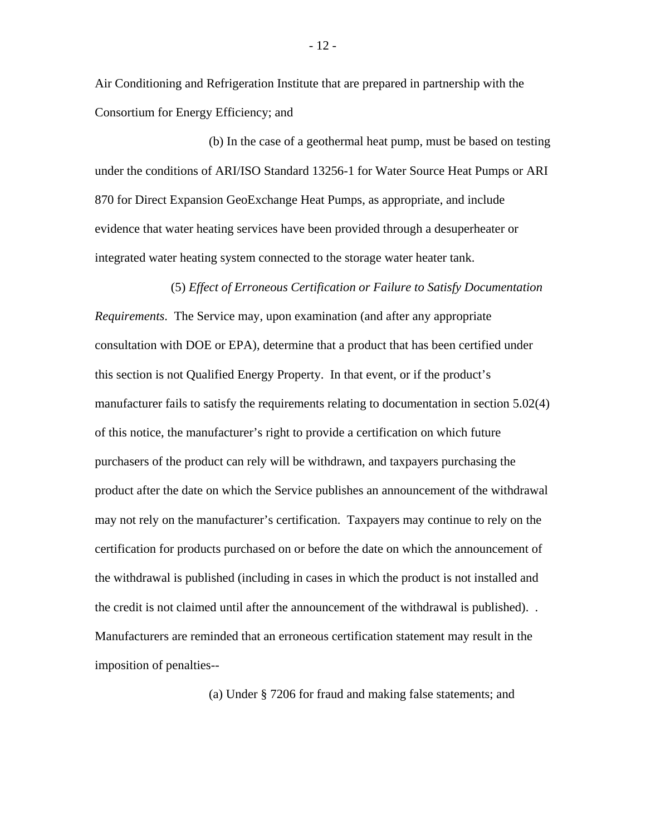Air Conditioning and Refrigeration Institute that are prepared in partnership with the Consortium for Energy Efficiency; and

(b) In the case of a geothermal heat pump, must be based on testing under the conditions of ARI/ISO Standard 13256-1 for Water Source Heat Pumps or ARI 870 for Direct Expansion GeoExchange Heat Pumps, as appropriate, and include evidence that water heating services have been provided through a desuperheater or integrated water heating system connected to the storage water heater tank.

#### (5) *Effect of Erroneous Certification or Failure to Satisfy Documentation*

*Requirements*. The Service may, upon examination (and after any appropriate consultation with DOE or EPA), determine that a product that has been certified under this section is not Qualified Energy Property. In that event, or if the product's manufacturer fails to satisfy the requirements relating to documentation in section 5.02(4) of this notice, the manufacturer's right to provide a certification on which future purchasers of the product can rely will be withdrawn, and taxpayers purchasing the product after the date on which the Service publishes an announcement of the withdrawal may not rely on the manufacturer's certification. Taxpayers may continue to rely on the certification for products purchased on or before the date on which the announcement of the withdrawal is published (including in cases in which the product is not installed and the credit is not claimed until after the announcement of the withdrawal is published). . Manufacturers are reminded that an erroneous certification statement may result in the imposition of penalties--

(a) Under § 7206 for fraud and making false statements; and

- 12 -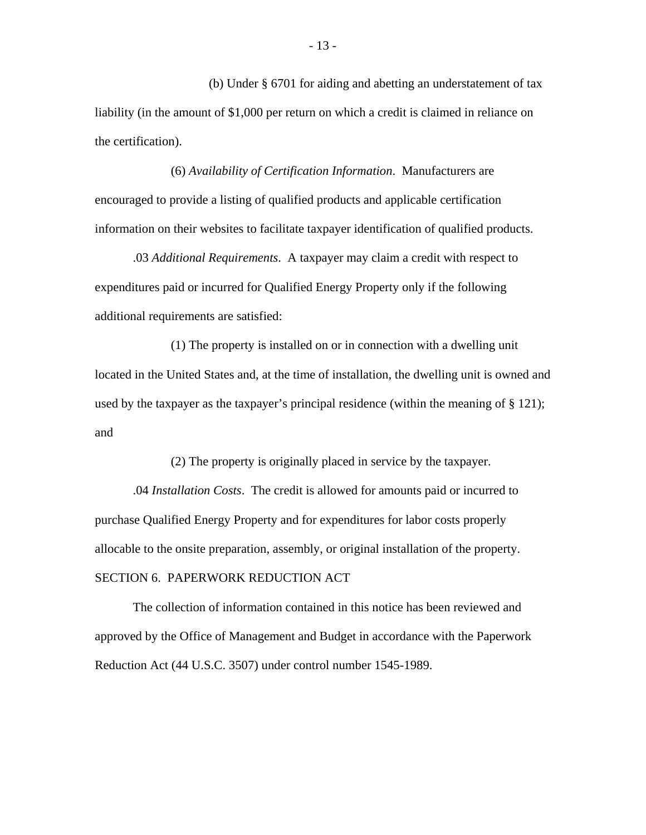(b) Under § 6701 for aiding and abetting an understatement of tax liability (in the amount of \$1,000 per return on which a credit is claimed in reliance on the certification).

(6) *Availability of Certification Information*. Manufacturers are encouraged to provide a listing of qualified products and applicable certification information on their websites to facilitate taxpayer identification of qualified products.

.03 *Additional Requirements*. A taxpayer may claim a credit with respect to expenditures paid or incurred for Qualified Energy Property only if the following additional requirements are satisfied:

(1) The property is installed on or in connection with a dwelling unit located in the United States and, at the time of installation, the dwelling unit is owned and used by the taxpayer as the taxpayer's principal residence (within the meaning of § 121); and

(2) The property is originally placed in service by the taxpayer.

.04 *Installation Costs*. The credit is allowed for amounts paid or incurred to purchase Qualified Energy Property and for expenditures for labor costs properly allocable to the onsite preparation, assembly, or original installation of the property. SECTION 6. PAPERWORK REDUCTION ACT

The collection of information contained in this notice has been reviewed and approved by the Office of Management and Budget in accordance with the Paperwork Reduction Act (44 U.S.C. 3507) under control number 1545-1989.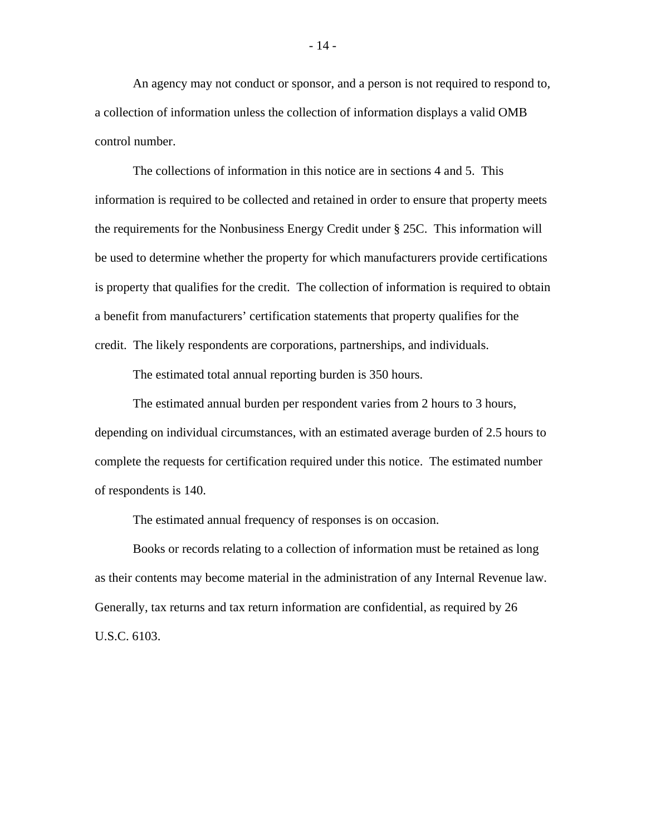An agency may not conduct or sponsor, and a person is not required to respond to, a collection of information unless the collection of information displays a valid OMB control number.

The collections of information in this notice are in sections 4 and 5. This information is required to be collected and retained in order to ensure that property meets the requirements for the Nonbusiness Energy Credit under § 25C. This information will be used to determine whether the property for which manufacturers provide certifications is property that qualifies for the credit. The collection of information is required to obtain a benefit from manufacturers' certification statements that property qualifies for the credit. The likely respondents are corporations, partnerships, and individuals.

The estimated total annual reporting burden is 350 hours.

The estimated annual burden per respondent varies from 2 hours to 3 hours, depending on individual circumstances, with an estimated average burden of 2.5 hours to complete the requests for certification required under this notice. The estimated number of respondents is 140.

The estimated annual frequency of responses is on occasion.

Books or records relating to a collection of information must be retained as long as their contents may become material in the administration of any Internal Revenue law. Generally, tax returns and tax return information are confidential, as required by 26 U.S.C. 6103.